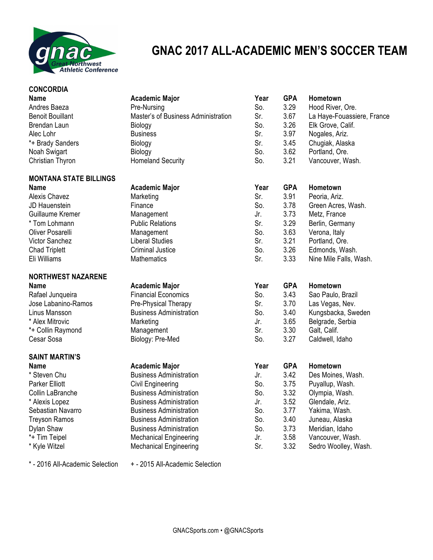

## **GNAC 2017 ALL-ACADEMIC MEN'S SOCCER TEAM**

| <b>CONCORDIA</b>              |                                     |      |            |                            |
|-------------------------------|-------------------------------------|------|------------|----------------------------|
| <b>Name</b>                   | <b>Academic Major</b>               | Year | <b>GPA</b> | Hometown                   |
| Andres Baeza                  | Pre-Nursing                         | So.  | 3.29       | Hood River, Ore.           |
| <b>Benoit Bouillant</b>       | Master's of Business Administration | Sr.  | 3.67       | La Haye-Fouassiere, France |
| Brendan Laun                  | Biology                             | So.  | 3.26       | Elk Grove, Calif.          |
| Alec Lohr                     | <b>Business</b>                     | Sr.  | 3.97       | Nogales, Ariz.             |
| *+ Brady Sanders              | Biology                             | Sr.  | 3.45       | Chugiak, Alaska            |
| Noah Swigart                  | Biology                             | So.  | 3.62       | Portland, Ore.             |
| Christian Thyron              | <b>Homeland Security</b>            | So.  | 3.21       | Vancouver, Wash.           |
| <b>MONTANA STATE BILLINGS</b> |                                     |      |            |                            |
| <b>Name</b>                   | <b>Academic Major</b>               | Year | <b>GPA</b> | Hometown                   |
| Alexis Chavez                 | Marketing                           | Sr.  | 3.91       | Peoria, Ariz.              |
| JD Hauenstein                 | Finance                             | So.  | 3.78       | Green Acres, Wash.         |
| Guillaume Kremer              | Management                          | Jr.  | 3.73       | Metz, France               |
| * Tom Lohmann                 | <b>Public Relations</b>             | Sr.  | 3.29       | Berlin, Germany            |
| Oliver Posarelli              | Management                          | So.  | 3.63       | Verona, Italy              |
| <b>Victor Sanchez</b>         | <b>Liberal Studies</b>              | Sr.  | 3.21       | Portland, Ore.             |
| <b>Chad Triplett</b>          | <b>Criminal Justice</b>             | So.  | 3.26       | Edmonds, Wash.             |
| Eli Williams                  | <b>Mathematics</b>                  | Sr.  | 3.33       | Nine Mile Falls, Wash.     |
| <b>NORTHWEST NAZARENE</b>     |                                     |      |            |                            |
| Name                          | <b>Academic Major</b>               | Year | <b>GPA</b> | Hometown                   |
| Rafael Junqueira              | <b>Financial Economics</b>          | So.  | 3.43       | Sao Paulo, Brazil          |
| Jose Labanino-Ramos           | Pre-Physical Therapy                | Sr.  | 3.70       | Las Vegas, Nev.            |
| Linus Mansson                 | <b>Business Administration</b>      | So.  | 3.40       | Kungsbacka, Sweden         |
| * Alex Mitrovic               | Marketing                           | Jr.  | 3.65       | Belgrade, Serbia           |
| *+ Collin Raymond             | Management                          | Sr.  | 3.30       | Galt, Calif.               |
| Cesar Sosa                    | Biology: Pre-Med                    | So.  | 3.27       | Caldwell, Idaho            |
| <b>SAINT MARTIN'S</b>         |                                     |      |            |                            |
| <b>Name</b>                   | <b>Academic Major</b>               | Year | <b>GPA</b> | Hometown                   |
| * Steven Chu                  | <b>Business Administration</b>      | Jr.  | 3.42       | Des Moines, Wash.          |
| <b>Parker Elliott</b>         | <b>Civil Engineering</b>            | So.  | 3.75       | Puyallup, Wash.            |
| Collin LaBranche              | <b>Business Administration</b>      | So.  | 3.32       | Olympia, Wash.             |
| * Alexis Lopez                | <b>Business Administration</b>      | Jr.  | 3.52       | Glendale, Ariz.            |
| Sebastian Navarro             | <b>Business Administration</b>      | So.  | 3.77       | Yakima, Wash.              |
| <b>Treyson Ramos</b>          | <b>Business Administration</b>      | So.  | 3.40       | Juneau, Alaska             |
| Dylan Shaw                    | <b>Business Administration</b>      | So.  | 3.73       | Meridian, Idaho            |
| *+ Tim Teipel                 | <b>Mechanical Engineering</b>       | Jr.  | 3.58       | Vancouver, Wash.           |
| * Kyle Witzel                 | <b>Mechanical Engineering</b>       | Sr.  | 3.32       | Sedro Woolley, Wash.       |

\* - 2016 All-Academic Selection + - 2015 All-Academic Selection